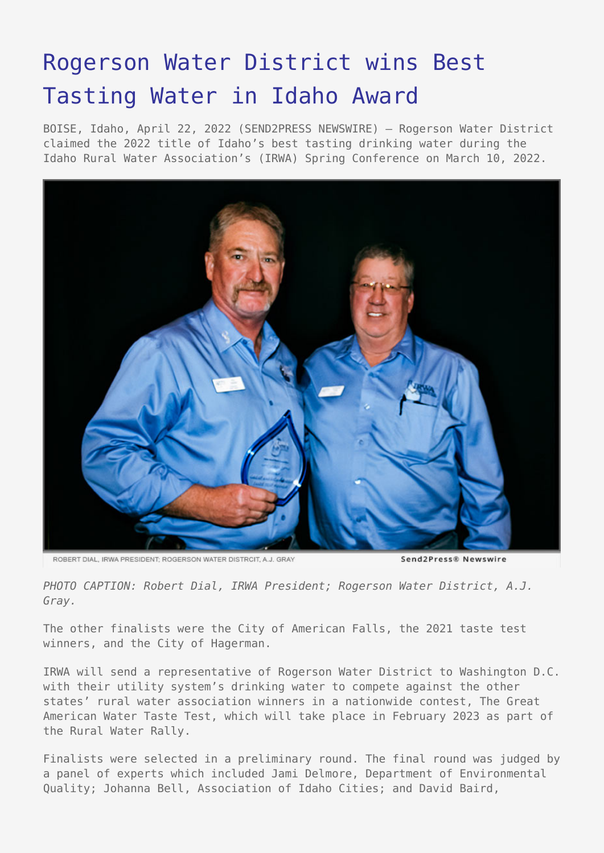## [Rogerson Water District wins Best](https://www.send2press.com/wire/rogerson-water-district-wins-best-tasting-water-in-idaho-award/) [Tasting Water in Idaho Award](https://www.send2press.com/wire/rogerson-water-district-wins-best-tasting-water-in-idaho-award/)

BOISE, Idaho, April 22, 2022 (SEND2PRESS NEWSWIRE) — Rogerson Water District claimed the 2022 title of Idaho's best tasting drinking water during the Idaho Rural Water Association's (IRWA) Spring Conference on March 10, 2022.



ROBERT DIAL, IRWA PRESIDENT; ROGERSON WATER DISTRCIT, A.J. GRAY

Send2Press® Newswire

*PHOTO CAPTION: Robert Dial, IRWA President; Rogerson Water District, A.J. Gray.*

The other finalists were the City of American Falls, the 2021 taste test winners, and the City of Hagerman.

IRWA will send a representative of Rogerson Water District to Washington D.C. with their utility system's drinking water to compete against the other states' rural water association winners in a nationwide contest, The Great American Water Taste Test, which will take place in February 2023 as part of the Rural Water Rally.

Finalists were selected in a preliminary round. The final round was judged by a panel of experts which included Jami Delmore, Department of Environmental Quality; Johanna Bell, Association of Idaho Cities; and David Baird,